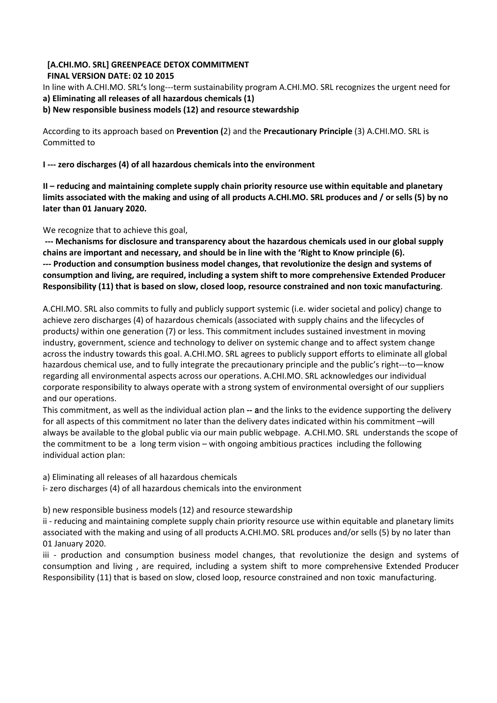### **[A.CHI.MO. SRL] GREENPEACE DETOX COMMITMENT FINAL VERSION DATE: 02 10 2015**

In line with A.CHI.MO. SRL**'**s long---term sustainability program A.CHI.MO. SRL recognizes the urgent need for **a) Eliminating all releases of all hazardous chemicals (1)**

**b) New responsible business models (12) and resource stewardship**

According to its approach based on **Prevention (**2) and the **Precautionary Principle** (3) A.CHI.MO. SRL is Committed to

**I --- zero discharges (4) of all hazardous chemicals into the environment** 

**II – reducing and maintaining complete supply chain priority resource use within equitable and planetary limits associated with the making and using of all products A.CHI.MO. SRL produces and / or sells (5) by no later than 01 January 2020.**

We recognize that to achieve this goal,

**--- Mechanisms for disclosure and transparency about the hazardous chemicals used in our global supply chains are important and necessary, and should be in line with the 'Right to Know principle (6). --- Production and consumption business model changes, that revolutionize the design and systems of consumption and living, are required, including a system shift to more comprehensive Extended Producer Responsibility (11) that is based on slow, closed loop, resource constrained and non toxic manufacturing**.

A.CHI.MO. SRL also commits to fully and publicly support systemic (i.e. wider societal and policy) change to achieve zero discharges (4) of hazardous chemicals (associated with supply chains and the lifecycles of products*)* within one generation (7) or less. This commitment includes sustained investment in moving industry, government, science and technology to deliver on systemic change and to affect system change across the industry towards this goal. A.CHI.MO. SRL agrees to publicly support efforts to eliminate all global hazardous chemical use, and to fully integrate the precautionary principle and the public's right---to—know regarding all environmental aspects across our operations. A.CHI.MO. SRL acknowledges our individual corporate responsibility to always operate with a strong system of environmental oversight of our suppliers and our operations.

This commitment, as well as the individual action plan **--** and the links to the evidence supporting the delivery for all aspects of this commitment no later than the delivery dates indicated within his commitment –will always be available to the global public via our main public webpage. A.CHI.MO. SRL understands the scope of the commitment to be a long term vision – with ongoing ambitious practices including the following individual action plan:

a) Eliminating all releases of all hazardous chemicals

i- zero discharges (4) of all hazardous chemicals into the environment

b) new responsible business models (12) and resource stewardship

ii - reducing and maintaining complete supply chain priority resource use within equitable and planetary limits associated with the making and using of all products A.CHI.MO. SRL produces and/or sells (5) by no later than 01 January 2020.

iii - production and consumption business model changes, that revolutionize the design and systems of consumption and living , are required, including a system shift to more comprehensive Extended Producer Responsibility (11) that is based on slow, closed loop, resource constrained and non toxic manufacturing.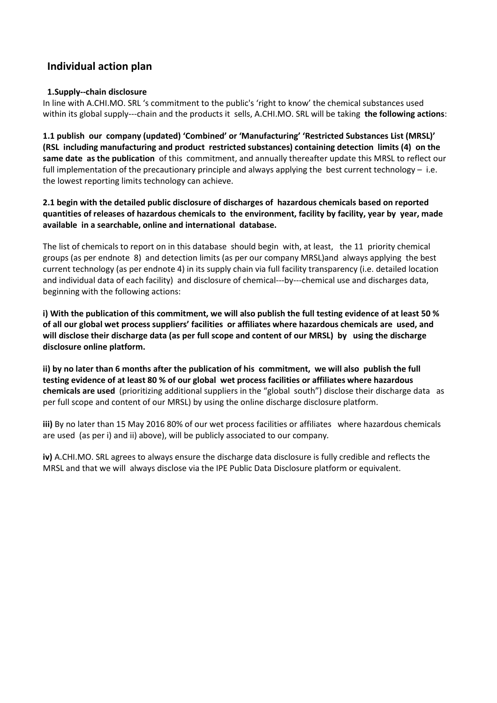# **Individual action plan**

## **1.Supply--chain disclosure**

In line with A.CHI.MO. SRL 's commitment to the public's 'right to know' the chemical substances used within its global supply---chain and the products it sells, A.CHI.MO. SRL will be taking **the following actions**:

**1.1 publish our company (updated) 'Combined' or 'Manufacturing' 'Restricted Substances List (MRSL)' (RSL including manufacturing and product restricted substances) containing detection limits (4) on the same date as the publication** of this commitment, and annually thereafter update this MRSL to reflect our full implementation of the precautionary principle and always applying the best current technology – i.e. the lowest reporting limits technology can achieve.

**2.1 begin with the detailed public disclosure of discharges of hazardous chemicals based on reported quantities of releases of hazardous chemicals to the environment, facility by facility, year by year, made available in a searchable, online and international database.**

The list of chemicals to report on in this database should begin with, at least, the 11 priority chemical groups (as per endnote 8) and detection limits (as per our company MRSL)and always applying the best current technology (as per endnote 4) in its supply chain via full facility transparency (i.e. detailed location and individual data of each facility) and disclosure of chemical---by---chemical use and discharges data, beginning with the following actions:

**i) With the publication of this commitment, we will also publish the full testing evidence of at least 50 % of all our global wet process suppliers' facilities or affiliates where hazardous chemicals are used, and will disclose their discharge data (as per full scope and content of our MRSL) by using the discharge disclosure online platform.**

**ii) by no later than 6 months after the publication of his commitment, we will also publish the full testing evidence of at least 80 % of our global wet process facilities or affiliates where hazardous chemicals are used** (prioritizing additional suppliers in the "global south") disclose their discharge data as per full scope and content of our MRSL) by using the online discharge disclosure platform.

**iii)** By no later than 15 May 2016 80% of our wet process facilities or affiliates where hazardous chemicals are used (as per i) and ii) above), will be publicly associated to our company*.*

**iv)** A.CHI.MO. SRL agrees to always ensure the discharge data disclosure is fully credible and reflects the MRSL and that we will always disclose via the IPE Public Data Disclosure platform or equivalent.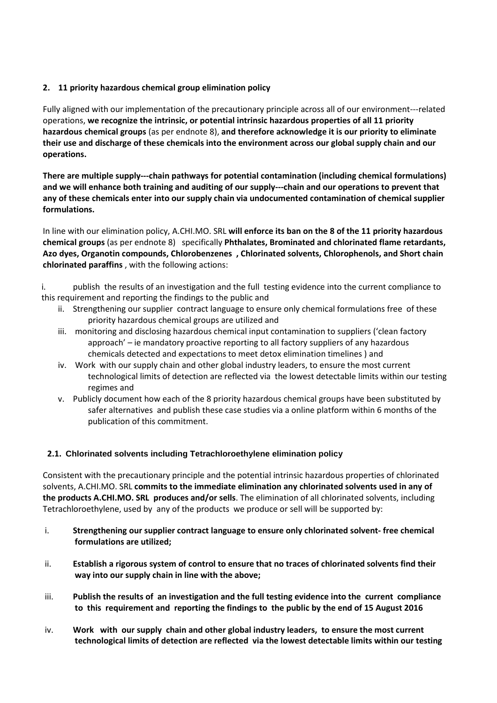# **2. 11 priority hazardous chemical group elimination policy**

Fully aligned with our implementation of the precautionary principle across all of our environment---related operations, **we recognize the intrinsic, or potential intrinsic hazardous properties of all 11 priority hazardous chemical groups** (as per endnote 8), **and therefore acknowledge it is our priority to eliminate their use and discharge of these chemicals into the environment across our global supply chain and our operations.**

**There are multiple supply---chain pathways for potential contamination (including chemical formulations) and we will enhance both training and auditing of our supply---chain and our operations to prevent that any of these chemicals enter into our supply chain via undocumented contamination of chemical supplier formulations.** 

In line with our elimination policy, A.CHI.MO. SRL **will enforce its ban on the 8 of the 11 priority hazardous chemical groups** (as per endnote 8) specifically **Phthalates, Brominated and chlorinated flame retardants, Azo dyes, Organotin compounds, Chlorobenzenes , Chlorinated solvents, Chlorophenols, and Short chain chlorinated paraffins** , with the following actions:

i. publish the results of an investigation and the full testing evidence into the current compliance to this requirement and reporting the findings to the public and

- ii. Strengthening our supplier contract language to ensure only chemical formulations free of these priority hazardous chemical groups are utilized and
- iii. monitoring and disclosing hazardous chemical input contamination to suppliers ('clean factory approach' – ie mandatory proactive reporting to all factory suppliers of any hazardous chemicals detected and expectations to meet detox elimination timelines ) and
- iv. Work with our supply chain and other global industry leaders, to ensure the most current technological limits of detection are reflected via the lowest detectable limits within our testing regimes and
- v. Publicly document how each of the 8 priority hazardous chemical groups have been substituted by safer alternatives and publish these case studies via a online platform within 6 months of the publication of this commitment.

## **2.1. Chlorinated solvents including Tetrachloroethylene elimination policy**

Consistent with the precautionary principle and the potential intrinsic hazardous properties of chlorinated solvents, A.CHI.MO. SRL **commits to the immediate elimination any chlorinated solvents used in any of the products A.CHI.MO. SRL produces and/or sells**. The elimination of all chlorinated solvents, including Tetrachloroethylene, used by any of the products we produce or sell will be supported by:

- i. **Strengthening our supplier contract language to ensure only chlorinated solvent- free chemical formulations are utilized;**
- ii. **Establish a rigorous system of control to ensure that no traces of chlorinated solvents find their way into our supply chain in line with the above;**
- iii. **Publish the results of an investigation and the full testing evidence into the current compliance to this requirement and reporting the findings to the public by the end of 15 August 2016**
- iv. **Work with our supply chain and other global industry leaders, to ensure the most current technological limits of detection are reflected via the lowest detectable limits within our testing**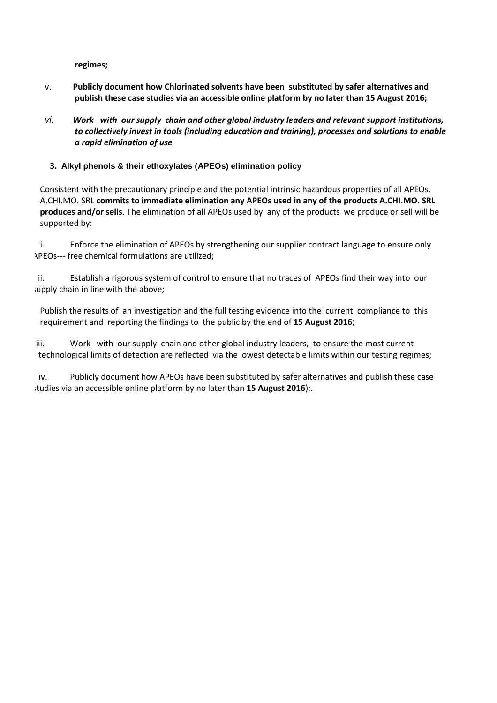**regimes;**

- v. **Publicly document how Chlorinated solvents have been substituted by safer alternatives and publish these case studies via an accessible online platform by no later than 15 August 2016;**
- vi. *Work with our supply chain and other global industry leaders and relevant support institutions, to collectively invest in tools (including education and training), processes and solutions to enable a rapid elimination of use*

## **3. Alkyl phenols & their ethoxylates (APEOs) elimination policy**

Consistent with the precautionary principle and the potential intrinsic hazardous properties of all APEOs, A.CHI.MO. SRL **commits to immediate elimination any APEOs used in any of the products A.CHI.MO. SRL produces and/or sells**. The elimination of all APEOs used by any of the products we produce or sell will be supported by:

i. Enforce the elimination of APEOs by strengthening our supplier contract language to ensure only APEOs--- free chemical formulations are utilized;

ii. Establish a rigorous system of control to ensure that no traces of APEOs find their way into our supply chain in line with the above;

Publish the results of an investigation and the full testing evidence into the current compliance to this requirement and reporting the findings to the public by the end of **15 August 2016**;

iii. Work with our supply chain and other global industry leaders, to ensure the most current technological limits of detection are reflected via the lowest detectable limits within our testing regimes;

iv. Publicly document how APEOs have been substituted by safer alternatives and publish these case studies via an accessible online platform by no later than **15 August 2016**);.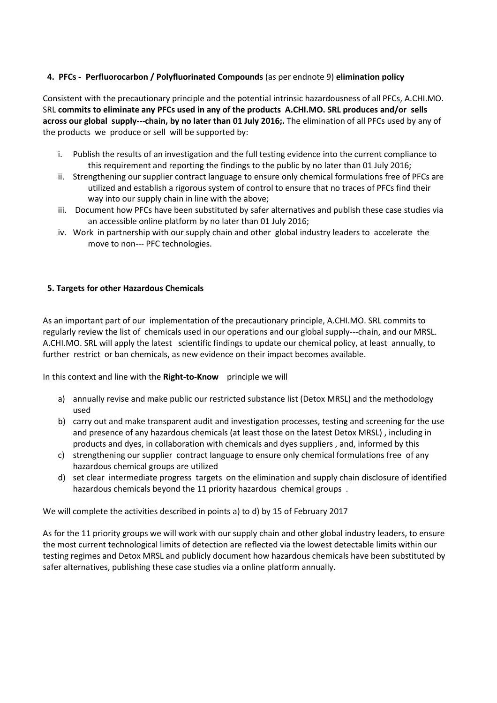## **4. PFCs - Perfluorocarbon / Polyfluorinated Compounds** (as per endnote 9) **elimination policy**

Consistent with the precautionary principle and the potential intrinsic hazardousness of all PFCs, A.CHI.MO. SRL **commits to eliminate any PFCs used in any of the products A.CHI.MO. SRL produces and/or sells across our global supply---chain, by no later than 01 July 2016;.** The elimination of all PFCs used by any of the products we produce or sell will be supported by:

- i. Publish the results of an investigation and the full testing evidence into the current compliance to this requirement and reporting the findings to the public by no later than 01 July 2016;
- ii. Strengthening our supplier contract language to ensure only chemical formulations free of PFCs are utilized and establish a rigorous system of control to ensure that no traces of PFCs find their way into our supply chain in line with the above:
- iii. Document how PFCs have been substituted by safer alternatives and publish these case studies via an accessible online platform by no later than 01 July 2016;
- iv. Work in partnership with our supply chain and other global industry leaders to accelerate the move to non--- PFC technologies.

## **5. Targets for other Hazardous Chemicals**

As an important part of our implementation of the precautionary principle, A.CHI.MO. SRL commits to regularly review the list of chemicals used in our operations and our global supply---chain, and our MRSL. A.CHI.MO. SRL will apply the latest scientific findings to update our chemical policy, at least annually, to further restrict or ban chemicals, as new evidence on their impact becomes available.

In this context and line with the **Right-to-Know** principle we will

- a) annually revise and make public our restricted substance list (Detox MRSL) and the methodology used
- b) carry out and make transparent audit and investigation processes, testing and screening for the use and presence of any hazardous chemicals (at least those on the latest Detox MRSL) , including in products and dyes, in collaboration with chemicals and dyes suppliers , and, informed by this
- c) strengthening our supplier contract language to ensure only chemical formulations free of any hazardous chemical groups are utilized
- d) set clear intermediate progress targets on the elimination and supply chain disclosure of identified hazardous chemicals beyond the 11 priority hazardous chemical groups .

We will complete the activities described in points a) to d) by 15 of February 2017

As for the 11 priority groups we will work with our supply chain and other global industry leaders, to ensure the most current technological limits of detection are reflected via the lowest detectable limits within our testing regimes and Detox MRSL and publicly document how hazardous chemicals have been substituted by safer alternatives, publishing these case studies via a online platform annually.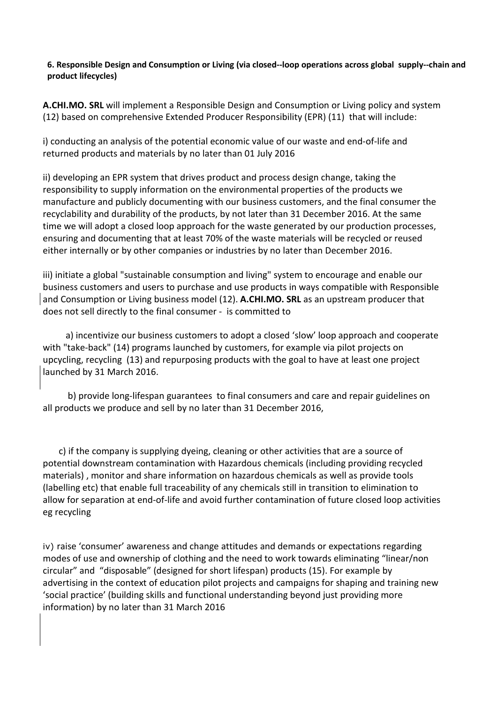## **6. Responsible Design and Consumption or Living (via closed--loop operations across global supply--chain and product lifecycles)**

**A.CHI.MO. SRL** will implement a Responsible Design and Consumption or Living policy and system (12) based on comprehensive Extended Producer Responsibility (EPR) (11) that will include:

i) conducting an analysis of the potential economic value of our waste and end-of-life and returned products and materials by no later than 01 July 2016

ii) developing an EPR system that drives product and process design change, taking the responsibility to supply information on the environmental properties of the products we manufacture and publicly documenting with our business customers, and the final consumer the recyclability and durability of the products, by not later than 31 December 2016. At the same time we will adopt a closed loop approach for the waste generated by our production processes, ensuring and documenting that at least 70% of the waste materials will be recycled or reused either internally or by other companies or industries by no later than December 2016.

iii) initiate a global "sustainable consumption and living" system to encourage and enable our business customers and users to purchase and use products in ways compatible with Responsible and Consumption or Living business model (12). **A.CHI.MO. SRL** as an upstream producer that does not sell directly to the final consumer - is committed to

 a) incentivize our business customers to adopt a closed 'slow' loop approach and cooperate with "take-back" (14) programs launched by customers, for example via pilot projects on upcycling, recycling (13) and repurposing products with the goal to have at least one project launched by 31 March 2016.

 b) provide long-lifespan guarantees to final consumers and care and repair guidelines on all products we produce and sell by no later than 31 December 2016,

 c) if the company is supplying dyeing, cleaning or other activities that are a source of potential downstream contamination with Hazardous chemicals (including providing recycled materials) , monitor and share information on hazardous chemicals as well as provide tools (labelling etc) that enable full traceability of any chemicals still in transition to elimination to allow for separation at end-of-life and avoid further contamination of future closed loop activities eg recycling

iv) raise 'consumer' awareness and change attitudes and demands or expectations regarding modes of use and ownership of clothing and the need to work towards eliminating "linear/non circular" and "disposable" (designed for short lifespan) products (15). For example by advertising in the context of education pilot projects and campaigns for shaping and training new 'social practice' (building skills and functional understanding beyond just providing more information) by no later than 31 March 2016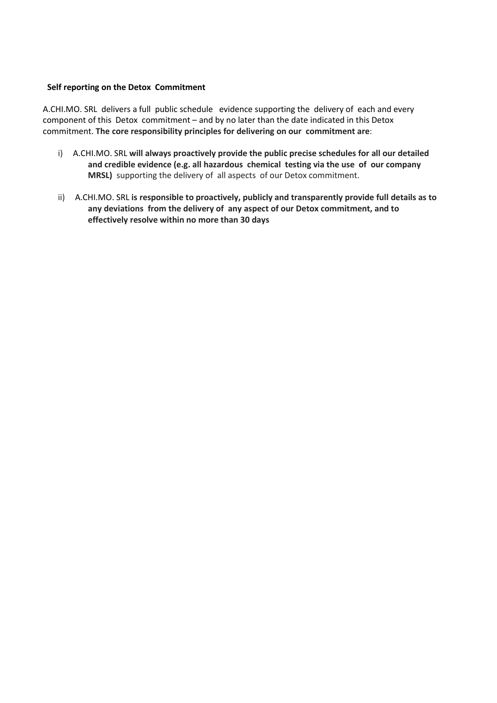#### **Self reporting on the Detox Commitment**

A.CHI.MO. SRL delivers a full public schedule evidence supporting the delivery of each and every component of this Detox commitment – and by no later than the date indicated in this Detox commitment. **The core responsibility principles for delivering on our commitment are**:

- i) A.CHI.MO. SRL **will always proactively provide the public precise schedules for all our detailed and credible evidence (e.g. all hazardous chemical testing via the use of our company MRSL)** supporting the delivery of all aspects of our Detox commitment.
- ii) A.CHI.MO. SRL **is responsible to proactively, publicly and transparently provide full details as to any deviations from the delivery of any aspect of our Detox commitment, and to effectively resolve within no more than 30 days**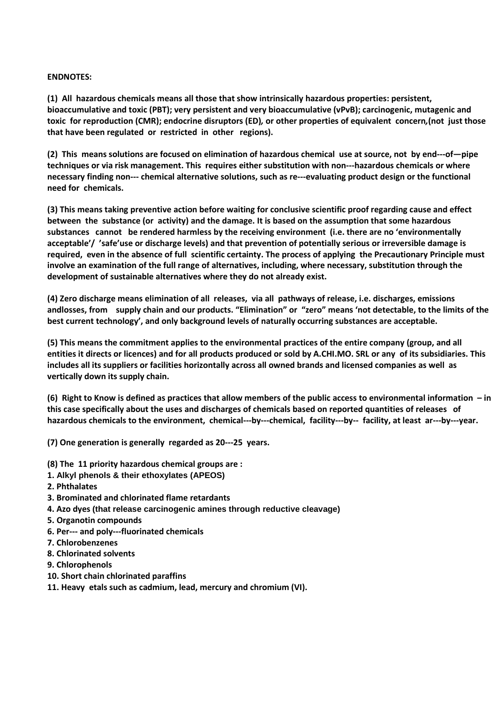#### **ENDNOTES:**

**(1) All hazardous chemicals means all those that show intrinsically hazardous properties: persistent, bioaccumulative and toxic (PBT); very persistent and very bioaccumulative (vPvB); carcinogenic, mutagenic and toxic for reproduction (CMR); endocrine disruptors (ED)***,* **or other properties of equivalent concern***,***(not just those that have been regulated or restricted in other regions).** 

**(2) This means solutions are focused on elimination of hazardous chemical use at source, not by end---of—pipe techniques or via risk management. This requires either substitution with non---hazardous chemicals or where necessary finding non--- chemical alternative solutions, such as re---evaluating product design or the functional need for chemicals.** 

**(3) This means taking preventive action before waiting for conclusive scientific proof regarding cause and effect between the substance (or activity) and the damage. It is based on the assumption that some hazardous substances cannot be rendered harmless by the receiving environment (i.e. there are no 'environmentally acceptable'/ 'safe'use or discharge levels) and that prevention of potentially serious or irreversible damage is required, even in the absence of full scientific certainty. The process of applying the Precautionary Principle must involve an examination of the full range of alternatives, including, where necessary, substitution through the development of sustainable alternatives where they do not already exist.**

**(4) Zero discharge means elimination of all releases, via all pathways of release, i.e. discharges, emissions andlosses, from supply chain and our products. "Elimination" or "zero" means 'not detectable, to the limits of the best current technology', and only background levels of naturally occurring substances are acceptable.**

**(5) This means the commitment applies to the environmental practices of the entire company (group, and all entities it directs or licences) and for all products produced or sold by A.CHI.MO. SRL or any of its subsidiaries. This includes all its suppliers or facilities horizontally across all owned brands and licensed companies as well as vertically down its supply chain.** 

**(6) Right to Know is defined as practices that allow members of the public access to environmental information – in this case specifically about the uses and discharges of chemicals based on reported quantities of releases of hazardous chemicals to the environment, chemical---by---chemical, facility---by-- facility, at least ar---by---year.**

**(7) One generation is generally regarded as 20---25 years.**

- **(8) The 11 priority hazardous chemical groups are :**
- **1. Alkyl phenols & their ethoxylates (APEOS)**
- **2. Phthalates**
- **3. Brominated and chlorinated flame retardants**
- **4. Azo dyes (that release carcinogenic amines through reductive cleavage)**
- **5. Organotin compounds**
- **6. Per--- and poly---fluorinated chemicals**
- **7. Chlorobenzenes**
- **8. Chlorinated solvents**
- **9. Chlorophenols**
- **10. Short chain chlorinated paraffins**
- **11. Heavy etals such as cadmium, lead, mercury and chromium (VI).**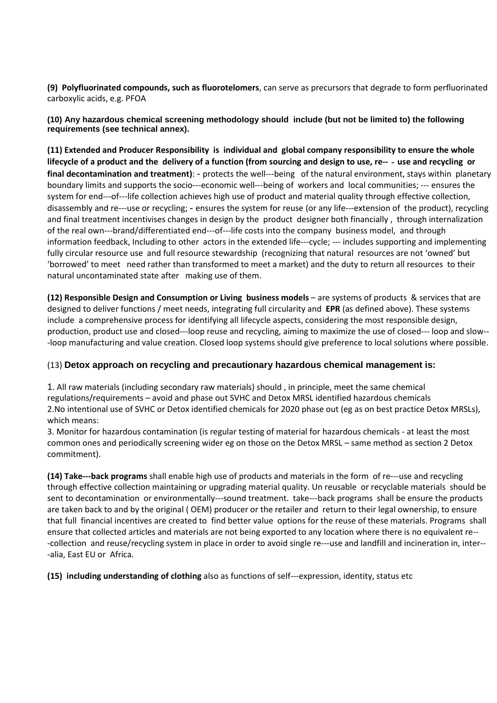**(9) Polyfluorinated compounds, such as fluorotelomers**, can serve as precursors that degrade to form perfluorinated carboxylic acids, e.g. PFOA

**(10) Any hazardous chemical screening methodology should include (but not be limited to) the following requirements (see technical annex).**

**(11) Extended and Producer Responsibility is individual and global company responsibility to ensure the whole lifecycle of a product and the delivery of a function (from sourcing and design to use, re--**‐**use and recycling or final decontamination and treatment)**: - protects the well---being of the natural environment, stays within planetary boundary limits and supports the socio---economic well---being of workers and local communities; --- ensures the system for end---of---life collection achieves high use of product and material quality through effective collection, disassembly and re---use or recycling; - ensures the system for reuse (or any life---extension of the product), recycling and final treatment incentivises changes in design by the product designer both financially , through internalization of the real own---brand/differentiated end---of---life costs into the company business model, and through information feedback, Including to other actors in the extended life---cycle; --- includes supporting and implementing fully circular resource use and full resource stewardship (recognizing that natural resources are not 'owned' but 'borrowed' to meet need rather than transformed to meet a market) and the duty to return all resources to their natural uncontaminated state after making use of them.

**(12) Responsible Design and Consumption or Living business models** – are systems of products & services that are designed to deliver functions / meet needs, integrating full circularity and **EPR** (as defined above). These systems include a comprehensive process for identifying all lifecycle aspects, considering the most responsible design, production, product use and closed---loop reuse and recycling, aiming to maximize the use of closed--- loop and slow-- -loop manufacturing and value creation. Closed loop systems should give preference to local solutions where possible.

## (13) **Detox approach on recycling and precautionary hazardous chemical management is:**

1. All raw materials (including secondary raw materials) should , in principle, meet the same chemical regulations/requirements – avoid and phase out SVHC and Detox MRSL identified hazardous chemicals 2.No intentional use of SVHC or Detox identified chemicals for 2020 phase out (eg as on best practice Detox MRSLs), which means:

3. Monitor for hazardous contamination (is regular testing of material for hazardous chemicals - at least the most common ones and periodically screening wider eg on those on the Detox MRSL – same method as section 2 Detox commitment).

**(14) Take---back programs** shall enable high use of products and materials in the form of re---use and recycling through effective collection maintaining or upgrading material quality. Un reusable or recyclable materials should be sent to decontamination or environmentally---sound treatment. take---back programs shall be ensure the products are taken back to and by the original ( OEM) producer or the retailer and return to their legal ownership, to ensure that full financial incentives are created to find better value options for the reuse of these materials. Programs shall ensure that collected articles and materials are not being exported to any location where there is no equivalent re-- -collection and reuse/recycling system in place in order to avoid single re---use and landfill and incineration in, inter-- -alia, East EU or Africa.

**(15) including understanding of clothing** also as functions of self---expression, identity, status etc